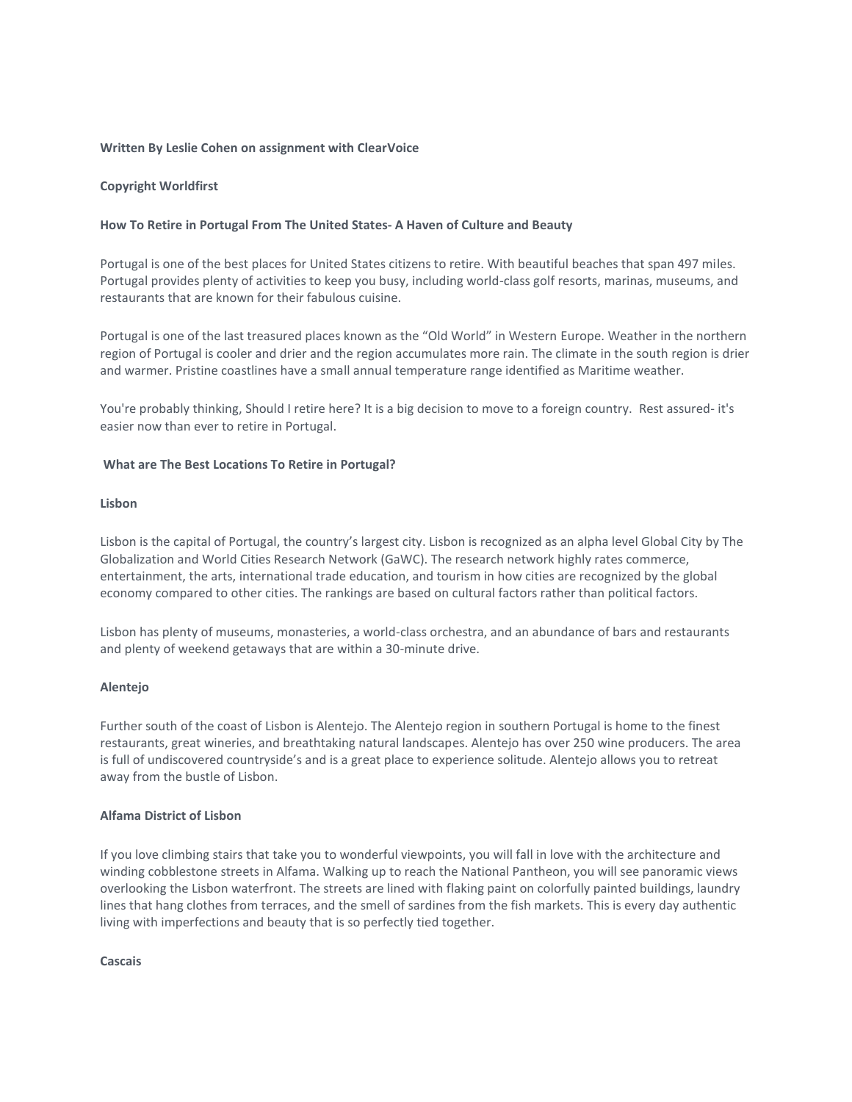# **Written By Leslie Cohen on assignment with ClearVoice**

# **Copyright Worldfirst**

## **How To Retire in Portugal From The United States- A Haven of Culture and Beauty**

Portugal is one of the best places for United States citizens to retire. With beautiful beaches that span 497 miles. Portugal provides plenty of activities to keep you busy, including world-class golf resorts, marinas, museums, and restaurants that are known for their fabulous cuisine.

Portugal is one of the last treasured places known as the "Old World" in Western Europe. Weather in the northern region of Portugal is cooler and drier and the region accumulates more rain. The climate in the south region is drier and warmer. Pristine coastlines have a small annual temperature range identified as Maritime weather.

You're probably thinking, Should I retire here? It is a big decision to move to a foreign country. Rest assured- it's easier now than ever to retire in Portugal.

#### **What are The Best Locations To Retire in Portugal?**

# **Lisbon**

Lisbon is the capital of Portugal, the country's largest city. Lisbon is recognized as an alpha level Global City by The Globalization and World Cities Research Network (GaWC). The research network highly rates commerce, entertainment, the arts, international trade education, and tourism in how cities are recognized by the global economy compared to other cities. The rankings are based on cultural factors rather than political factors.

Lisbon has plenty of museums, monasteries, a world-class orchestra, and an abundance of bars and restaurants and plenty of weekend getaways that are within a 30-minute drive.

### **Alentejo**

Further south of the coast of Lisbon is Alentejo. The Alentejo region in southern Portugal is home to the finest restaurants, great wineries, and breathtaking natural landscapes. Alentejo has over 250 wine producers. The area is full of undiscovered countryside's and is a great place to experience solitude. Alentejo allows you to retreat away from the bustle of Lisbon.

#### **Alfama District of Lisbon**

If you love climbing stairs that take you to wonderful viewpoints, you will fall in love with the architecture and winding cobblestone streets in Alfama. Walking up to reach the National Pantheon, you will see panoramic views overlooking the Lisbon waterfront. The streets are lined with flaking paint on colorfully painted buildings, laundry lines that hang clothes from terraces, and the smell of sardines from the fish markets. This is every day authentic living with imperfections and beauty that is so perfectly tied together.

# **Cascais**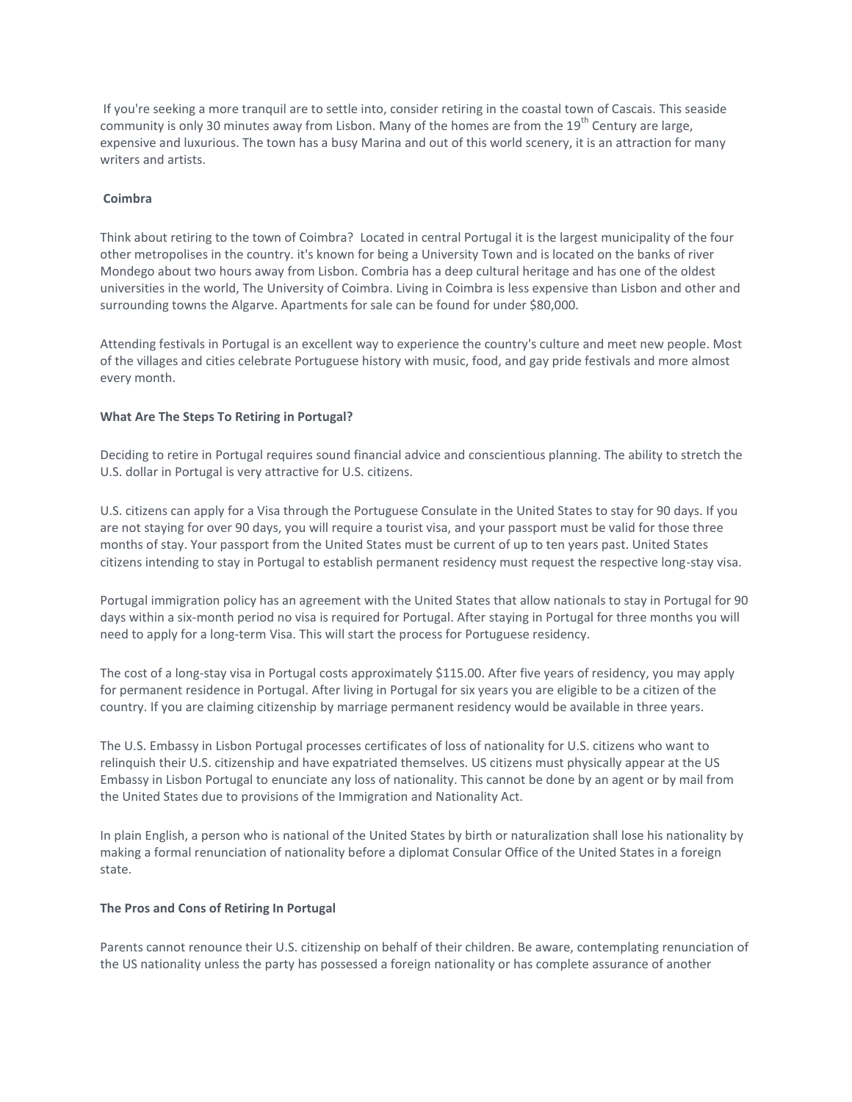If you're seeking a more tranquil are to settle into, consider retiring in the coastal town of Cascais. This seaside community is only 30 minutes away from Lisbon. Many of the homes are from the 19<sup>th</sup> Century are large, expensive and luxurious. The town has a busy Marina and out of this world scenery, it is an attraction for many writers and artists.

# **Coimbra**

Think about retiring to the town of Coimbra? Located in central Portugal it is the largest municipality of the four other metropolises in the country. it's known for being a University Town and is located on the banks of river Mondego about two hours away from Lisbon. Combria has a deep cultural heritage and has one of the oldest universities in the world, The University of Coimbra. Living in Coimbra is less expensive than Lisbon and other and surrounding towns the Algarve. Apartments for sale can be found for under \$80,000.

Attending festivals in Portugal is an excellent way to experience the country's culture and meet new people. Most of the villages and cities celebrate Portuguese history with music, food, and gay pride festivals and more almost every month.

# **What Are The Steps To Retiring in Portugal?**

Deciding to retire in Portugal requires sound financial advice and conscientious planning. The ability to stretch the U.S. dollar in Portugal is very attractive for U.S. citizens.

U.S. citizens can apply for a Visa through the Portuguese Consulate in the United States to stay for 90 days. If you are not staying for over 90 days, you will require a tourist visa, and your passport must be valid for those three months of stay. Your passport from the United States must be current of up to ten years past. United States citizens intending to stay in Portugal to establish permanent residency must request the respective long-stay visa.

Portugal immigration policy has an agreement with the United States that allow nationals to stay in Portugal for 90 days within a six-month period no visa is required for Portugal. After staying in Portugal for three months you will need to apply for a long-term Visa. This will start the process for Portuguese residency.

The cost of a long-stay visa in Portugal costs approximately \$115.00. After five years of residency, you may apply for permanent residence in Portugal. After living in Portugal for six years you are eligible to be a citizen of the country. If you are claiming citizenship by marriage permanent residency would be available in three years.

The U.S. Embassy in Lisbon Portugal processes certificates of loss of nationality for U.S. citizens who want to relinquish their U.S. citizenship and have expatriated themselves. US citizens must physically appear at the US Embassy in Lisbon Portugal to enunciate any loss of nationality. This cannot be done by an agent or by mail from the United States due to provisions of the Immigration and Nationality Act.

In plain English, a person who is national of the United States by birth or naturalization shall lose his nationality by making a formal renunciation of nationality before a diplomat Consular Office of the United States in a foreign state.

# **The Pros and Cons of Retiring In Portugal**

Parents cannot renounce their U.S. citizenship on behalf of their children. Be aware, contemplating renunciation of the US nationality unless the party has possessed a foreign nationality or has complete assurance of another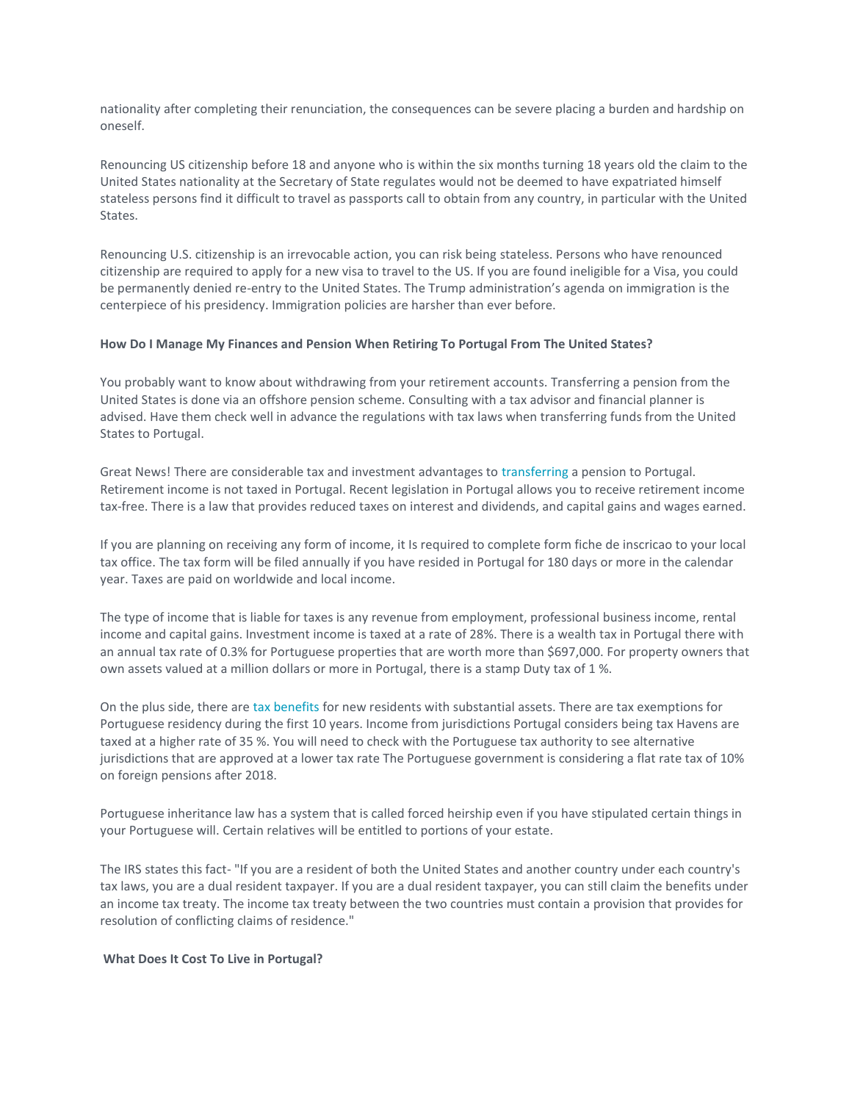nationality after completing their renunciation, the consequences can be severe placing a burden and hardship on oneself.

Renouncing US citizenship before 18 and anyone who is within the six months turning 18 years old the claim to the United States nationality at the Secretary of State regulates would not be deemed to have expatriated himself stateless persons find it difficult to travel as passports call to obtain from any country, in particular with the United States.

Renouncing U.S. citizenship is an irrevocable action, you can risk being stateless. Persons who have renounced citizenship are required to apply for a new visa to travel to the US. If you are found ineligible for a Visa, you could be permanently denied re-entry to the United States. The Trump administration's agenda on immigration is the centerpiece of his presidency. Immigration policies are harsher than ever before.

# **How Do I Manage My Finances and Pension When Retiring To Portugal From The United States?**

You probably want to know about withdrawing from your retirement accounts. Transferring a pension from the United States is done via an offshore pension scheme. Consulting with a tax advisor and financial planner is advised. Have them check well in advance the regulations with tax laws when transferring funds from the United States to Portugal.

Great News! There are considerable tax and investment advantages to [transferring](https://www.worldfirst.com/us/blog/your-money/expats-send-money-overseas/) a pension to Portugal. Retirement income is not taxed in Portugal. Recent legislation in Portugal allows you to receive retirement income tax-free. There is a law that provides reduced taxes on interest and dividends, and capital gains and wages earned.

If you are planning on receiving any form of income, it Is required to complete form fiche de inscricao to your local tax office. The tax form will be filed annually if you have resided in Portugal for 180 days or more in the calendar year. Taxes are paid on worldwide and local income.

The type of income that is liable for taxes is any revenue from employment, professional business income, rental income and capital gains. Investment income is taxed at a rate of 28%. There is a wealth tax in Portugal there with an annual tax rate of 0.3% for Portuguese properties that are worth more than \$697,000. For property owners that own assets valued at a million dollars or more in Portugal, there is a stamp Duty tax of 1 %.

On the plus side, there are [tax benefits](https://www.worldfirst.com/us/blog/your-money/5-tax-tips-every-us-expat-know/) for new residents with substantial assets. There are tax exemptions for Portuguese residency during the first 10 years. Income from jurisdictions Portugal considers being tax Havens are taxed at a higher rate of 35 %. You will need to check with the Portuguese tax authority to see alternative jurisdictions that are approved at a lower tax rate The Portuguese government is considering a flat rate tax of 10% on foreign pensions after 2018.

Portuguese inheritance law has a system that is called forced heirship even if you have stipulated certain things in your Portuguese will. Certain relatives will be entitled to portions of your estate.

The IRS states this fact- "If you are a resident of both the United States and another country under each country's tax laws, you are a dual resident taxpayer. If you are a dual resident taxpayer, you can still claim the benefits under an income tax treaty. The income tax treaty between the two countries must contain a provision that provides for resolution of conflicting claims of residence."

# **What Does It Cost To Live in Portugal?**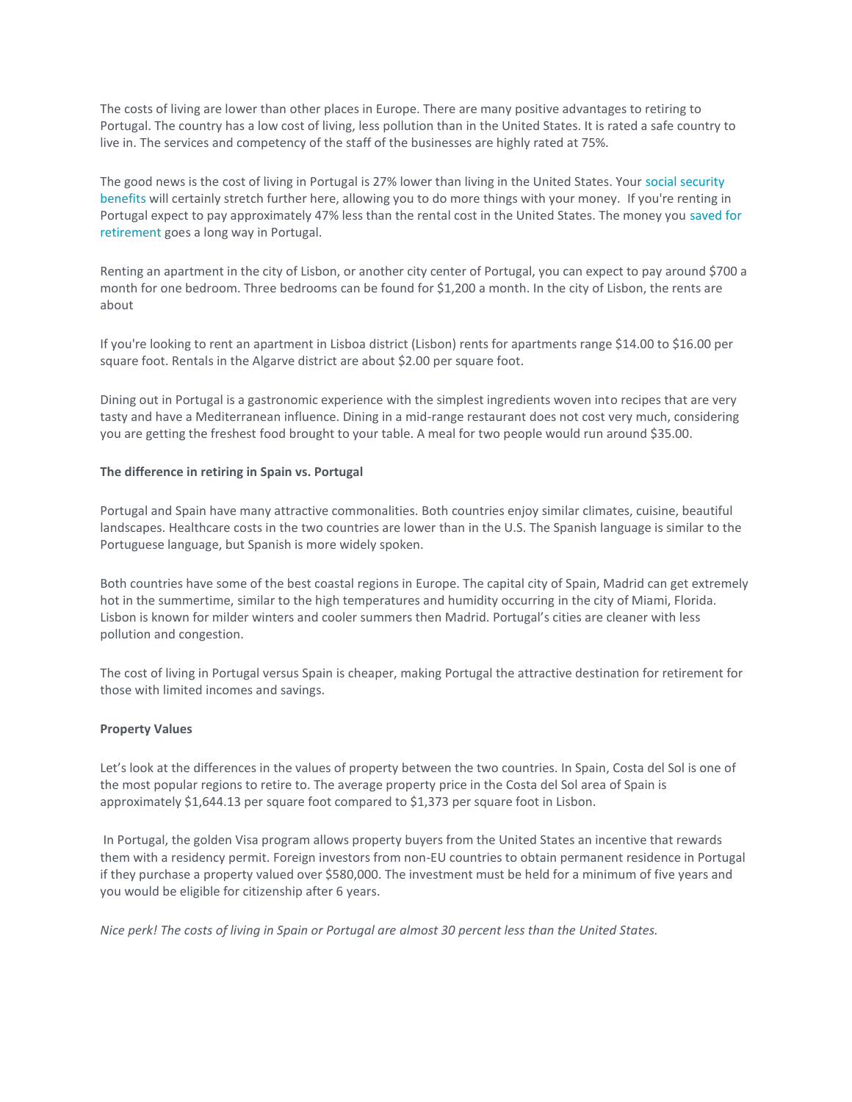The costs of living are lower than other places in Europe. There are many positive advantages to retiring to Portugal. The country has a low cost of living, less pollution than in the United States. It is rated a safe country to live in. The services and competency of the staff of the businesses are highly rated at 75%.

The good news is the cost of living in Portugal is 27% lower than living in the United States. Your [social security](https://www.worldfirst.com/us/blog/careers/retiring-overseas-6-things-know/)  [benefits](https://www.worldfirst.com/us/blog/careers/retiring-overseas-6-things-know/) will certainly stretch further here, allowing you to do more things with your money. If you're renting in Portugal expect to pay approximately 47% less than the rental cost in the United States. The money you [saved for](https://www.worldfirst.com/us/blog/your-money/much-cost-retire/)  [retirement](https://www.worldfirst.com/us/blog/your-money/much-cost-retire/) goes a long way in Portugal.

Renting an apartment in the city of Lisbon, or another city center of Portugal, you can expect to pay around \$700 a month for one bedroom. Three bedrooms can be found for \$1,200 a month. In the city of Lisbon, the rents are about

If you're looking to rent an apartment in Lisboa district (Lisbon) rents for apartments range \$14.00 to \$16.00 per square foot. Rentals in the Algarve district are about \$2.00 per square foot.

Dining out in Portugal is a gastronomic experience with the simplest ingredients woven into recipes that are very tasty and have a Mediterranean influence. Dining in a mid-range restaurant does not cost very much, considering you are getting the freshest food brought to your table. A meal for two people would run around \$35.00.

# **The difference in retiring in Spain vs. Portugal**

Portugal and Spain have many attractive commonalities. Both countries enjoy similar climates, cuisine, beautiful landscapes. Healthcare costs in the two countries are lower than in the U.S. The Spanish language is similar to the Portuguese language, but Spanish is more widely spoken.

Both countries have some of the best coastal regions in Europe. The capital city of Spain, Madrid can get extremely hot in the summertime, similar to the high temperatures and humidity occurring in the city of Miami, Florida. Lisbon is known for milder winters and cooler summers then Madrid. Portugal's cities are cleaner with less pollution and congestion.

The cost of living in Portugal versus Spain is cheaper, making Portugal the attractive destination for retirement for those with limited incomes and savings.

#### **Property Values**

Let's look at the differences in the values of property between the two countries. In Spain, Costa del Sol is one of the most popular regions to retire to. The average property price in the Costa del Sol area of Spain is approximately \$1,644.13 per square foot compared to \$1,373 per square foot in Lisbon.

In Portugal, the golden Visa program allows property buyers from the United States an incentive that rewards them with a residency permit. Foreign investors from non-EU countries to obtain permanent residence in Portugal if they purchase a property valued over \$580,000. The investment must be held for a minimum of five years and you would be eligible for citizenship after 6 years.

*Nice perk! The costs of living in Spain or Portugal are almost 30 percent less than the United States.*